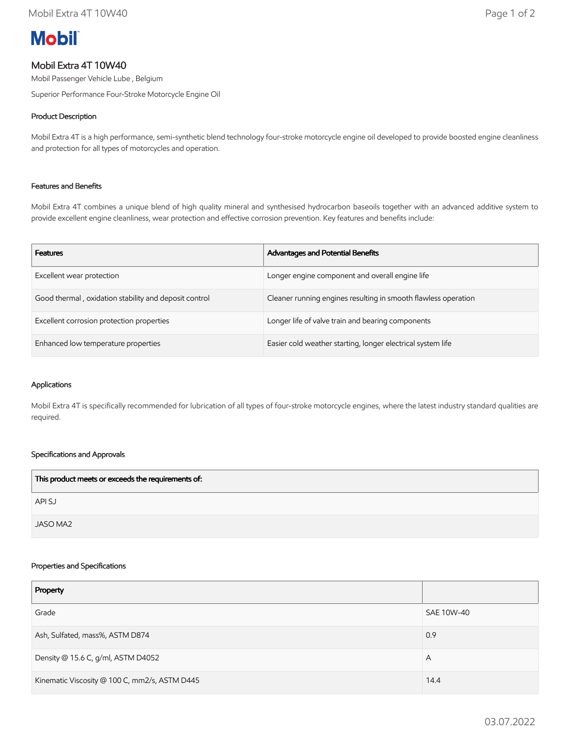# **Mobil**

# Mobil Extra 4T 10W40

Mobil Passenger Vehicle Lube , Belgium

Superior Performance Four-Stroke Motorcycle Engine Oil

# Product Description

Mobil Extra 4T is a high performance, semi-synthetic blend technology four-stroke motorcycle engine oil developed to provide boosted engine cleanliness and protection for all types of motorcycles and operation.

## Features and Benefits

Mobil Extra 4T combines a unique blend of high quality mineral and synthesised hydrocarbon baseoils together with an advanced additive system to provide excellent engine cleanliness, wear protection and effective corrosion prevention. Key features and benefits include:

| <b>Features</b>                                       | <b>Advantages and Potential Benefits</b>                       |
|-------------------------------------------------------|----------------------------------------------------------------|
| Excellent wear protection                             | Longer engine component and overall engine life                |
| Good thermal, oxidation stability and deposit control | Cleaner running engines resulting in smooth flawless operation |
| Excellent corrosion protection properties             | Longer life of valve train and bearing components              |
| Enhanced low temperature properties                   | Easier cold weather starting, longer electrical system life    |

#### Applications

Mobil Extra 4T is specifically recommended for lubrication of all types of four-stroke motorcycle engines, where the latest industry standard qualities are required.

## Specifications and Approvals

| This product meets or exceeds the requirements of: |  |
|----------------------------------------------------|--|
| API SJ                                             |  |
| JASO MA2                                           |  |

#### Properties and Specifications

| Property                                      |            |
|-----------------------------------------------|------------|
| Grade                                         | SAE 10W-40 |
| Ash, Sulfated, mass%, ASTM D874               | 0.9        |
| Density @ 15.6 C, g/ml, ASTM D4052            | A          |
| Kinematic Viscosity @ 100 C, mm2/s, ASTM D445 | 14.4       |